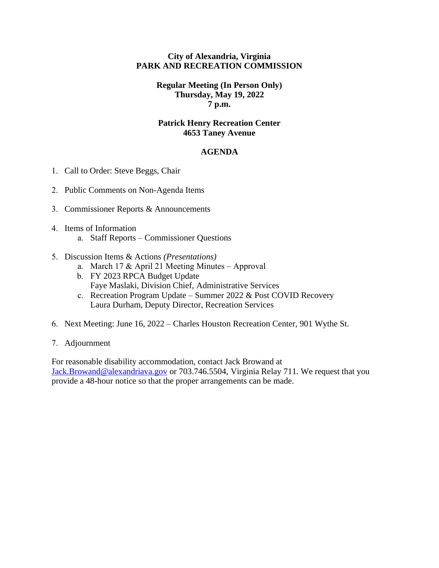### **City of Alexandria, Virginia PARK AND RECREATION COMMISSION**

## **Regular Meeting (In Person Only) Thursday, May 19, 2022 7 p.m.**

### **Patrick Henry Recreation Center 4653 Taney Avenue**

# **AGENDA**

- 1. Call to Order: Steve Beggs, Chair
- 2. Public Comments on Non-Agenda Items
- 3. Commissioner Reports & Announcements
- 4. Items of Information
	- a. Staff Reports Commissioner Questions
- 5. Discussion Items & Actions *(Presentations)*
	- a. March 17 & April 21 Meeting Minutes Approval
	- b. FY 2023 RPCA Budget Update Faye Maslaki, Division Chief, Administrative Services
	- c. Recreation Program Update Summer 2022 & Post COVID Recovery Laura Durham, Deputy Director, Recreation Services
- 6. Next Meeting: June 16, 2022 Charles Houston Recreation Center, 901 Wythe St.
- 7. Adjournment

For reasonable disability accommodation, contact Jack Browand at [Jack.Browand@alexandriava.gov](mailto:Jack.Browand@alexandriava.gov) or 703.746.5504, Virginia Relay 711. We request that you provide a 48-hour notice so that the proper arrangements can be made.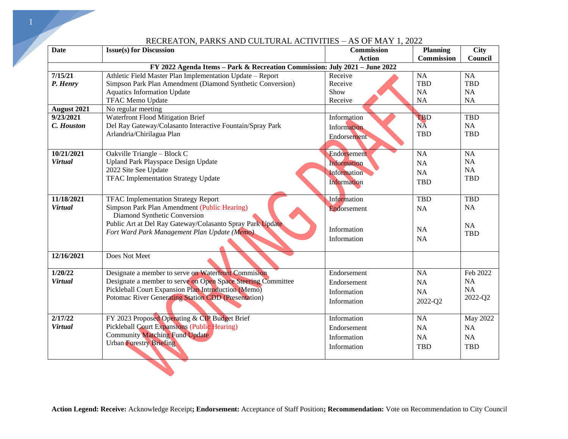| <b>Date</b>                                                                | <b>Issue(s) for Discussion</b>                                                                       | Commission         | <b>Planning</b>   | <b>City</b> |  |  |  |  |  |  |
|----------------------------------------------------------------------------|------------------------------------------------------------------------------------------------------|--------------------|-------------------|-------------|--|--|--|--|--|--|
|                                                                            |                                                                                                      | <b>Action</b>      | <b>Commission</b> | Council     |  |  |  |  |  |  |
| FY 2022 Agenda Items - Park & Recreation Commission: July 2021 - June 2022 |                                                                                                      |                    |                   |             |  |  |  |  |  |  |
| 7/15/21                                                                    | Athletic Field Master Plan Implementation Update - Report                                            | Receive            | NA                | <b>NA</b>   |  |  |  |  |  |  |
| P. Henry                                                                   | Simpson Park Plan Amendment (Diamond Synthetic Conversion)                                           | Receive            | TBD               | <b>TBD</b>  |  |  |  |  |  |  |
|                                                                            | <b>Aquatics Information Update</b>                                                                   | Show               | NA                | <b>NA</b>   |  |  |  |  |  |  |
|                                                                            | <b>TFAC Memo Update</b>                                                                              | Receive            | NA                | NA          |  |  |  |  |  |  |
| August 2021                                                                | No regular meeting                                                                                   |                    |                   |             |  |  |  |  |  |  |
| 9/23/2021                                                                  | Waterfront Flood Mitigation Brief                                                                    | Information        | <b>TBD</b>        | <b>TBD</b>  |  |  |  |  |  |  |
| C. Houston                                                                 | Del Ray Gateway/Colasanto Interactive Fountain/Spray Park                                            | Information        | <b>NA</b>         | <b>NA</b>   |  |  |  |  |  |  |
|                                                                            | Arlandria/Chirilagua Plan                                                                            | Endorsement        | <b>TBD</b>        | <b>TBD</b>  |  |  |  |  |  |  |
|                                                                            |                                                                                                      |                    |                   |             |  |  |  |  |  |  |
| 10/21/2021                                                                 | Oakville Triangle - Block C                                                                          | Endorsement        | <b>NA</b>         | <b>NA</b>   |  |  |  |  |  |  |
| <b>Virtual</b>                                                             | <b>Upland Park Playspace Design Update</b>                                                           | <b>Information</b> | <b>NA</b>         | <b>NA</b>   |  |  |  |  |  |  |
|                                                                            | 2022 Site See Update                                                                                 | Information        | NA                | <b>NA</b>   |  |  |  |  |  |  |
|                                                                            | <b>TFAC Implementation Strategy Update</b>                                                           | <b>Information</b> | <b>TBD</b>        | <b>TBD</b>  |  |  |  |  |  |  |
|                                                                            |                                                                                                      |                    |                   |             |  |  |  |  |  |  |
| 11/18/2021                                                                 | <b>TFAC Implementation Strategy Report</b>                                                           | Information        | <b>TBD</b>        | <b>TBD</b>  |  |  |  |  |  |  |
| <b>Virtual</b>                                                             | Simpson Park Plan Amendment (Public Hearing)                                                         | Endorsement        | NA                | <b>NA</b>   |  |  |  |  |  |  |
|                                                                            | Diamond Synthetic Conversion                                                                         |                    |                   |             |  |  |  |  |  |  |
|                                                                            | Public Art at Del Ray Gateway/Colasanto Spray Park Update                                            |                    |                   | NA          |  |  |  |  |  |  |
|                                                                            | Fort Ward Park Management Plan Update (Memo).                                                        | Information        | <b>NA</b>         | <b>TBD</b>  |  |  |  |  |  |  |
|                                                                            |                                                                                                      | Information        | <b>NA</b>         |             |  |  |  |  |  |  |
|                                                                            |                                                                                                      |                    |                   |             |  |  |  |  |  |  |
| 12/16/2021                                                                 | Does Not Meet                                                                                        |                    |                   |             |  |  |  |  |  |  |
| 1/20/22                                                                    | Designate a member to serve on Waterfront Commision                                                  | Endorsement        | <b>NA</b>         | Feb 2022    |  |  |  |  |  |  |
| <b>Virtual</b>                                                             | Designate a member to serve on Open Space Steering Committee                                         | Endorsement        | <b>NA</b>         | <b>NA</b>   |  |  |  |  |  |  |
|                                                                            | Pickleball Court Expansion Plan Introduction (Memo)                                                  |                    |                   | NA          |  |  |  |  |  |  |
|                                                                            | Potomac River Generating Station CDD (Presentation)                                                  | Information        | NA                | 2022-Q2     |  |  |  |  |  |  |
|                                                                            |                                                                                                      | Information        | 2022-Q2           |             |  |  |  |  |  |  |
| 2/17/22                                                                    |                                                                                                      |                    |                   |             |  |  |  |  |  |  |
| <b>Virtual</b>                                                             | FY 2023 Proposed Operating & CIP Budget Brief<br><b>Pickleball Court Expansions (Public Hearing)</b> | Information        | <b>NA</b>         | May 2022    |  |  |  |  |  |  |
|                                                                            | <b>Community Matching Fund Update</b>                                                                | Endorsement        | NA                | <b>NA</b>   |  |  |  |  |  |  |
|                                                                            | <b>Urban Forestry Briefing</b>                                                                       | Information        | NA                | <b>NA</b>   |  |  |  |  |  |  |
|                                                                            |                                                                                                      | Information        | <b>TBD</b>        | <b>TBD</b>  |  |  |  |  |  |  |
|                                                                            |                                                                                                      |                    |                   |             |  |  |  |  |  |  |

### RECREATON, PARKS AND CULTURAL ACTIVITIES – AS OF MAY 1, 2022